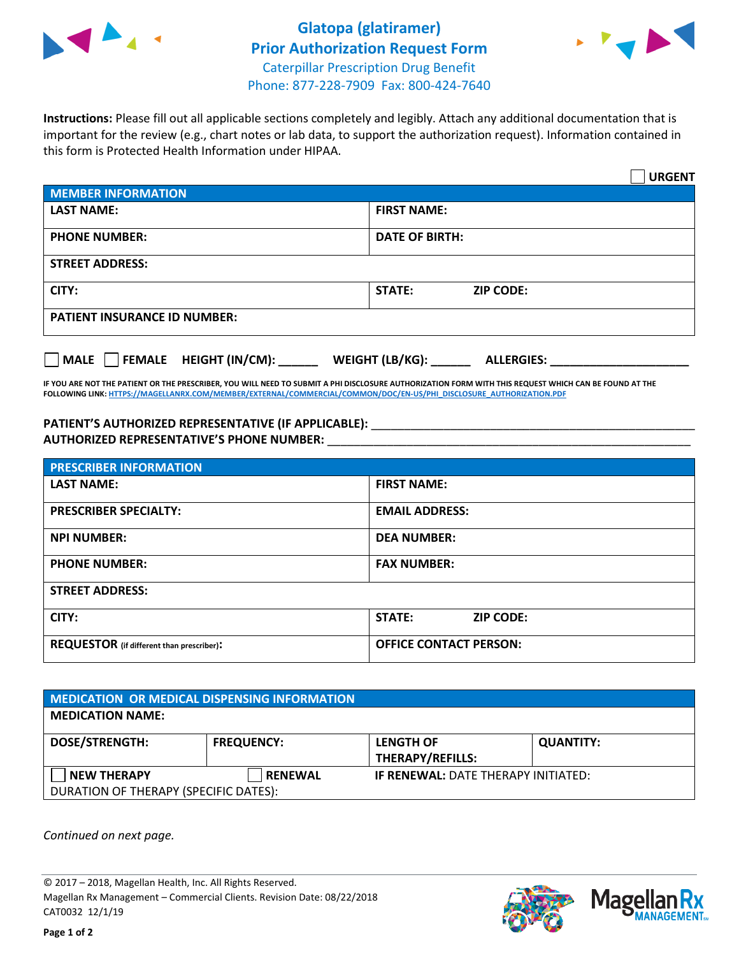

## **Glatopa (glatiramer) Prior Authorization Request Form** Caterpillar Prescription Drug Benefit Phone: 877-228-7909 Fax: 800-424-7640



**Instructions:** Please fill out all applicable sections completely and legibly. Attach any additional documentation that is important for the review (e.g., chart notes or lab data, to support the authorization request). Information contained in this form is Protected Health Information under HIPAA.

|                                     | <b>URGENT</b>                          |  |  |  |
|-------------------------------------|----------------------------------------|--|--|--|
| <b>MEMBER INFORMATION</b>           |                                        |  |  |  |
| <b>LAST NAME:</b>                   | <b>FIRST NAME:</b>                     |  |  |  |
| <b>PHONE NUMBER:</b>                | <b>DATE OF BIRTH:</b>                  |  |  |  |
| <b>STREET ADDRESS:</b>              |                                        |  |  |  |
| CITY:                               | <b>ZIP CODE:</b><br>STATE:             |  |  |  |
| <b>PATIENT INSURANCE ID NUMBER:</b> |                                        |  |  |  |
| FEMALE HEIGHT (IN/CM):<br>   MALE   | WEIGHT (LB/KG): _<br><b>ALLERGIES:</b> |  |  |  |

**IF YOU ARE NOT THE PATIENT OR THE PRESCRIBER, YOU WILL NEED TO SUBMIT A PHI DISCLOSURE AUTHORIZATION FORM WITH THIS REQUEST WHICH CAN BE FOUND AT THE FOLLOWING LINK[: HTTPS://MAGELLANRX.COM/MEMBER/EXTERNAL/COMMERCIAL/COMMON/DOC/EN-US/PHI\\_DISCLOSURE\\_AUTHORIZATION.PDF](https://magellanrx.com/member/external/commercial/common/doc/en-us/PHI_Disclosure_Authorization.pdf)**

PATIENT'S AUTHORIZED REPRESENTATIVE (IF APPLICABLE): \_\_\_\_\_\_\_\_\_\_\_\_\_\_\_\_\_\_\_\_\_\_\_\_\_\_\_ **AUTHORIZED REPRESENTATIVE'S PHONE NUMBER:** \_\_\_\_\_\_\_\_\_\_\_\_\_\_\_\_\_\_\_\_\_\_\_\_\_\_\_\_\_\_\_\_\_\_\_\_\_\_\_\_\_\_\_\_\_\_\_\_\_\_\_\_\_\_\_

| <b>PRESCRIBER INFORMATION</b>             |                               |  |  |  |
|-------------------------------------------|-------------------------------|--|--|--|
| <b>LAST NAME:</b>                         | <b>FIRST NAME:</b>            |  |  |  |
| <b>PRESCRIBER SPECIALTY:</b>              | <b>EMAIL ADDRESS:</b>         |  |  |  |
| <b>NPI NUMBER:</b>                        | <b>DEA NUMBER:</b>            |  |  |  |
| <b>PHONE NUMBER:</b>                      | <b>FAX NUMBER:</b>            |  |  |  |
| <b>STREET ADDRESS:</b>                    |                               |  |  |  |
| CITY:                                     | STATE:<br><b>ZIP CODE:</b>    |  |  |  |
| REQUESTOR (if different than prescriber): | <b>OFFICE CONTACT PERSON:</b> |  |  |  |

| <b>MEDICATION OR MEDICAL DISPENSING INFORMATION</b> |                   |                                            |                  |  |  |
|-----------------------------------------------------|-------------------|--------------------------------------------|------------------|--|--|
| <b>MEDICATION NAME:</b>                             |                   |                                            |                  |  |  |
| <b>DOSE/STRENGTH:</b>                               | <b>FREQUENCY:</b> | <b>LENGTH OF</b>                           | <b>QUANTITY:</b> |  |  |
|                                                     |                   | <b>THERAPY/REFILLS:</b>                    |                  |  |  |
| <b>NEW THERAPY</b>                                  | <b>RENEWAL</b>    | <b>IF RENEWAL: DATE THERAPY INITIATED:</b> |                  |  |  |
| DURATION OF THERAPY (SPECIFIC DATES):               |                   |                                            |                  |  |  |

*Continued on next page.*

© 2017 – 2018, Magellan Health, Inc. All Rights Reserved. Magellan Rx Management – Commercial Clients. Revision Date: 08/22/2018 CAT0032 12/1/19